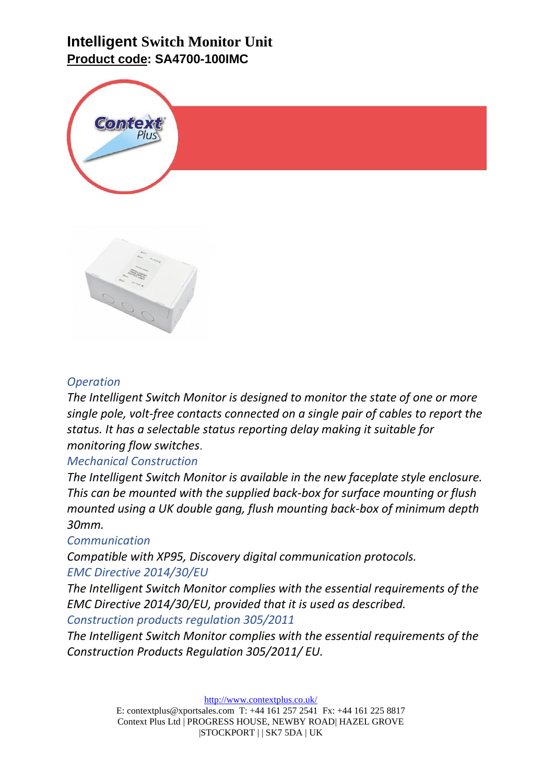# **Intelligent Switch Monitor Unit Product code: SA4700-100IMC**





### *Operation*

*The Intelligent Switch Monitor is designed to monitor the state of one or more single pole, volt-free contacts connected on a single pair of cables to report the status. It has a selectable status reporting delay making it suitable for monitoring flow switches*.

#### *Mechanical Construction*

*The Intelligent Switch Monitor is available in the new faceplate style enclosure. This can be mounted with the supplied back-box for surface mounting or flush mounted using a UK double gang, flush mounting back-box of minimum depth 30mm.*

#### *Communication*

*Compatible with XP95, Discovery digital communication protocols. EMC Directive 2014/30/EU*

*The Intelligent Switch Monitor complies with the essential requirements of the EMC Directive 2014/30/EU, provided that it is used as described. Construction products regulation 305/2011*

*The Intelligent Switch Monitor complies with the essential requirements of the Construction Products Regulation 305/2011/ EU.* 

<http://www.contextplus.co.uk/>

E: contextplus@xportsales.com T: +44 161 257 2541 Fx: +44 161 225 8817 Context Plus Ltd | PROGRESS HOUSE, NEWBY ROAD| HAZEL GROVE |STOCKPORT | | SK7 5DA | UK